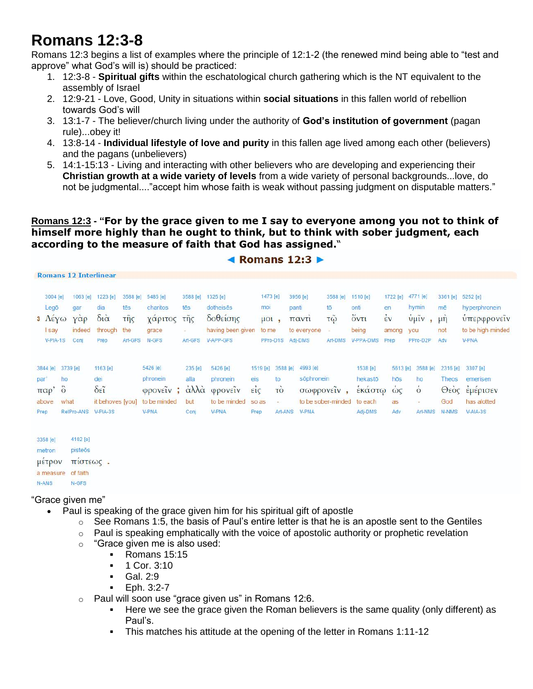## **Romans 12:3-8**

Romans 12:3 begins a list of examples where the principle of 12:1-2 (the renewed mind being able to "test and approve" what God's will is) should be practiced:

- 1. 12:3-8 **Spiritual gifts** within the eschatological church gathering which is the NT equivalent to the assembly of Israel
- 2. 12:9-21 Love, Good, Unity in situations within **social situations** in this fallen world of rebellion towards God's will
- 3. 13:1-7 The believer/church living under the authority of **God's institution of government** (pagan rule)...obey it!
- 4. 13:8-14 **Individual lifestyle of love and purity** in this fallen age lived among each other (believers) and the pagans (unbelievers)
- 5. 14:1-15:13 Living and interacting with other believers who are developing and experiencing their **Christian growth at a wide variety of levels** from a wide variety of personal backgrounds...love, do not be judgmental...."accept him whose faith is weak without passing judgment on disputable matters."

**Romans 12:3 - "For by the grace given to me I say to everyone among you not to think of himself more highly than he ought to think, but to think with sober judgment, each according to the measure of faith that God has assigned.**"

 $\triangle$  Pomane 12.3  $\triangleright$ 

|          |                             | <b>Romans 12 Interlinear</b> |                           |          |              |                          |                   |                                                   |                          |  |             |                       |           |                  |                                 |                  |                   |
|----------|-----------------------------|------------------------------|---------------------------|----------|--------------|--------------------------|-------------------|---------------------------------------------------|--------------------------|--|-------------|-----------------------|-----------|------------------|---------------------------------|------------------|-------------------|
| 3004 [e] |                             |                              | 1063 [e] 1223 [e]         | 3588 [e] | 5485 [e]     | 3588 [e]                 | 1325 [e]          | 1473 [e]<br>3956 [e]<br>dotheises<br>mor<br>panti |                          |  | 3588 [e]    | 1510 [e]              | 1722 [e]  | 4771 [e]         | 3361 [e]                        | 5252 [e]         |                   |
|          | Legō                        | gar                          | dia                       | tēs      | charitos     | tēs                      |                   |                                                   |                          |  |             | tō                    | onti      | en               | hymin                           | mē               | hyperphronein     |
|          | $\Lambda \in \gamma \omega$ | $\gamma \dot{\alpha} \rho$   | $\delta i\dot{\alpha}$    | τῆς      | χάριτος      | τῆς                      | δοθείσης          |                                                   | $\mu$ ol,                |  | παντί       | $\tau \tilde{\omega}$ | őντι      | $\frac{1}{2}v$   | ύμιν<br>$\overline{\mathbf{a}}$ | $\mu \dot{\eta}$ | υπερφρονεΐν       |
|          | <b>I</b> say                | indeed                       | through                   | the      | grace        | $\overline{\phantom{a}}$ | having been given |                                                   | to me                    |  | to everyone | Ξ                     | being     | among            | you                             | not              | to be high-minded |
|          | V-PIA-1S                    | Conj                         | Prep                      | Art-GFS  | N-GFS        | Art-GFS                  | V-APP-GFS         |                                                   | PPro-D1S Adj-DMS         |  |             | Art-DMS               | V-PPA-DMS | Prep             | PPro-D2P                        | Adv              | V-PNA             |
|          |                             | 3844 [e] 3739 [e]            | 1163 [e]                  |          | 5426 [e]     | 235 [e]                  | 5426 [e]          |                                                   | 1519 [e]<br>3588 [e]     |  | 4993 [e]    |                       | 1538 [e]  | 5613 [e]         | 3588 [e]                        | 2316 [e]         | 3307 [e]          |
| par      |                             | ho                           | dei                       |          | phronein     | alla                     | phronein          | eis                                               | to                       |  | sõphronein  |                       | hekastō   | hōs              | ho                              | <b>Theos</b>     | emerisen          |
| παρ'     |                             | $\ddot{\circ}$               | $\delta \tilde{\epsilon}$ |          | φρονείν;     | άλλα                     | φρονείν           | $\vec{\epsilon}$                                  | τo                       |  |             | σωφρονεΐν,            | έκάστω    | $\dot{\omega}$ ς | $\dot{\circ}$                   |                  | Θεὸς εμέρισεν     |
| above    |                             | what                         | it behoves [you]          |          | to be minded | but                      | to be minded      | so as                                             | $\overline{\phantom{a}}$ |  |             | to be sober-minded    | to each   | as               |                                 | God              | has alotted       |
| Prep     |                             | RelPro-ANS V-PIA-3S          |                           |          | <b>V-PNA</b> | Conj                     | V-PNA             | Prep                                              | Art-ANS                  |  | V-PNA       |                       | Adj-DMS   | Adv              | Art-NMS                         | N-NMS            | V-AIA-3S          |
| 3358 [e] |                             | 4102 [e]                     |                           |          |              |                          |                   |                                                   |                          |  |             |                       |           |                  |                                 |                  |                   |
| metron   |                             | pisteōs                      |                           |          |              |                          |                   |                                                   |                          |  |             |                       |           |                  |                                 |                  |                   |
|          | μέτρον                      | πιστεως.                     |                           |          |              |                          |                   |                                                   |                          |  |             |                       |           |                  |                                 |                  |                   |
|          |                             | a measure of faith           |                           |          |              |                          |                   |                                                   |                          |  |             |                       |           |                  |                                 |                  |                   |

## "Grace given me"

N-GFS

N-ANS

- Paul is speaking of the grace given him for his spiritual gift of apostle
	- $\circ$  See Romans 1:5, the basis of Paul's entire letter is that he is an apostle sent to the Gentiles
	- o Paul is speaking emphatically with the voice of apostolic authority or prophetic revelation
	- o "Grace given me is also used:
		- Romans 15:15
		- $-1$  Cor. 3:10
		- Gal. 2:9
		- $-$  Eph. 3:2-7
	- $\circ$  Paul will soon use "grace given us" in Romans 12:6.
		- Here we see the grace given the Roman believers is the same quality (only different) as Paul's.
		- This matches his attitude at the opening of the letter in Romans 1:11-12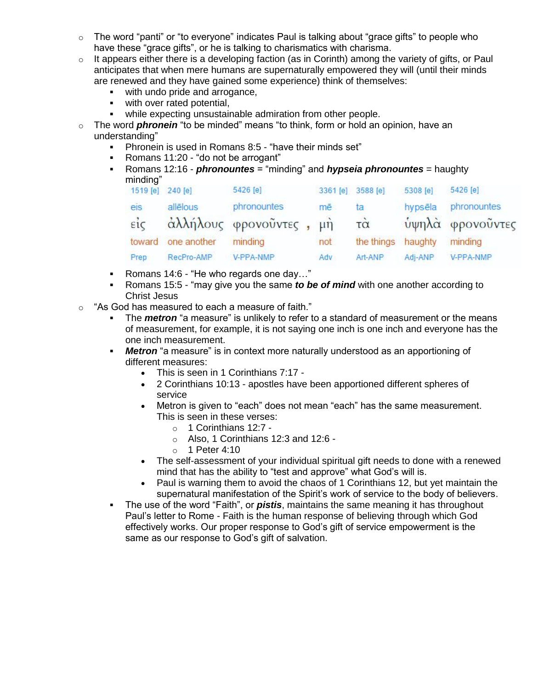- $\circ$  The word "panti" or "to everyone" indicates Paul is talking about "grace gifts" to people who have these "grace gifts", or he is talking to charismatics with charisma.
- $\circ$  It appears either there is a developing faction (as in Corinth) among the variety of gifts, or Paul anticipates that when mere humans are supernaturally empowered they will (until their minds are renewed and they have gained some experience) think of themselves:
	- with undo pride and arrogance,
	- **with over rated potential,**
	- while expecting unsustainable admiration from other people.
- o The word *phronein* "to be minded" means "to think, form or hold an opinion, have an understanding"
	- Phronein is used in Romans 8:5 "have their minds set"
	- Romans 11:20 "do not be arrogant"
	- Romans 12:16 *phronountes* = "minding" and *hypseia phronountes* = haughty minding"

| 1519 [e]         | 240 [e]     | 5426 [e]                | 3361 [e] | 3588 [e]            | 5308 [e] | 5426 [e]         |
|------------------|-------------|-------------------------|----------|---------------------|----------|------------------|
| eis              | allēlous    | phronountes             | mē       | ta                  | hypsēla  | phronountes      |
| $\vec{\epsilon}$ |             | άλλήλους φρονοῦντες, μή |          | $\vec{\tau} \alpha$ |          | ύψηλά φρονοὖντες |
| toward           | one another | minding                 | not      | the things          | haughty  | minding          |
| Prep             | RecPro-AMP  | V-PPA-NMP               | Adv      | Art-ANP             | Adj-ANP  | V-PPA-NMP        |
|                  |             |                         |          |                     |          |                  |

- Romans 14:6 "He who regards one day..."
- Romans 15:5 "may give you the same *to be of mind* with one another according to Christ Jesus
- o "As God has measured to each a measure of faith."
	- The *metron* "a measure" is unlikely to refer to a standard of measurement or the means of measurement, for example, it is not saying one inch is one inch and everyone has the one inch measurement.
	- *Metron* "a measure" is in context more naturally understood as an apportioning of different measures:
		- This is seen in 1 Corinthians 7:17 -
		- 2 Corinthians 10:13 apostles have been apportioned different spheres of service
		- Metron is given to "each" does not mean "each" has the same measurement. This is seen in these verses:
			- o 1 Corinthians 12:7 -
			- o Also, 1 Corinthians 12:3 and 12:6 -
			- o 1 Peter 4:10
		- The self-assessment of your individual spiritual gift needs to done with a renewed mind that has the ability to "test and approve" what God's will is.
		- Paul is warning them to avoid the chaos of 1 Corinthians 12, but yet maintain the supernatural manifestation of the Spirit's work of service to the body of believers.
	- The use of the word "Faith", or *pistis*, maintains the same meaning it has throughout Paul's letter to Rome - Faith is the human response of believing through which God effectively works. Our proper response to God's gift of service empowerment is the same as our response to God's gift of salvation.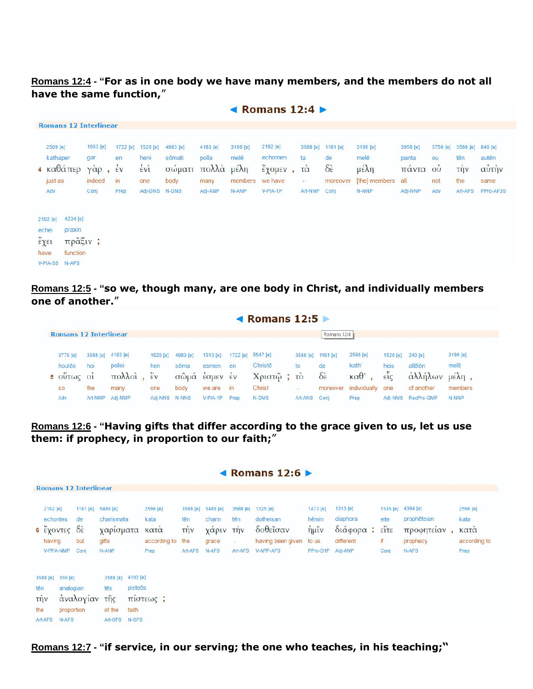## **Romans 12:4 - "For as in one body we have many members, and the members do not all have the same function,**"

 $\triangle$  Pomane 12.4  $\triangleright$ 

|                                                                                          |                                     |                      |             |                  |                |                                | $\blacksquare$ Nomens $\blacksquare$ |   |                                 |                               |               |                |                                     |                    |                |
|------------------------------------------------------------------------------------------|-------------------------------------|----------------------|-------------|------------------|----------------|--------------------------------|--------------------------------------|---|---------------------------------|-------------------------------|---------------|----------------|-------------------------------------|--------------------|----------------|
| <b>Romans 12 Interlinear</b>                                                             |                                     |                      |             |                  |                |                                |                                      |   |                                 |                               |               |                |                                     |                    |                |
| 2509 [e]                                                                                 | 1063 [e]                            | 1722 [e]             | 1520 [e]    | 4983 [e]         | 4183 [e]       | 3196 [e]                       | 2192 [e]                             |   | 3588 [e]                        | 1161 [e]                      | 3196 [e]      | 3956 [e]       | 3756 [e]                            | 3588 [e]           | 846 [e]        |
| kathaper<br>$4 \text{ καθάπερ}$                                                          | gar<br>$\gamma \dot{\alpha} \rho$ , | en<br>$\frac{1}{2}v$ | heni<br>ένì | sōmati<br>σώματι | polla<br>πολλά | melē<br>$\mu \in \lambda \eta$ | echomen<br>έχομεν                    | ٠ | ta<br>$\vec{\tau} \dot{\alpha}$ | de<br>$\delta \dot{\epsilon}$ | melē<br>μέλη  | panta<br>πάντα | ou<br>$\overline{\text{O}}\text{U}$ | tēn<br><b>TIJV</b> | autēn<br>αὐτὴν |
| just as                                                                                  | indeed                              | $\mathsf{in}$        | one         | body             | many           | members                        | we have                              |   | ¥.                              | moreover                      | [the] members | all            | not                                 | the                | same           |
| Adv                                                                                      | Conj                                | Prep                 | Adj-DNS     | N-DNS            | Adj-ANP        | N-ANP                          | V-PIA-1P                             |   | Art-NNP                         | Conj                          | N-NNP         | Adj-NNP        | Adv                                 | Art-AFS            | PPro-AF3S      |
| 4234 [e]<br>2192 [e]<br>praxin<br>echei<br>έχει<br>function<br>have<br>V-PIA-3S<br>N-AFS | πρᾶξιν;                             |                      |             |                  |                |                                |                                      |   |                                 |                               |               |                |                                     |                    |                |

**Romans 12:5 - "so we, though many, are one body in Christ, and individually members one of another.**"

|                                    |         |                   |                    |          |                                                                                                                                                                                                                                                                                                                     |               | ◀ Romans $12:5 \triangleright$ |          |                         |                        |                        |                    |            |
|------------------------------------|---------|-------------------|--------------------|----------|---------------------------------------------------------------------------------------------------------------------------------------------------------------------------------------------------------------------------------------------------------------------------------------------------------------------|---------------|--------------------------------|----------|-------------------------|------------------------|------------------------|--------------------|------------|
| <b>Romans 12 Interlinear</b>       |         |                   |                    |          |                                                                                                                                                                                                                                                                                                                     |               |                                |          | Romans 12:6             |                        |                        |                    |            |
| 3779 [e]                           |         | 3588 [e] 4183 [e] | 1520 [e]           | 4983 [e] | 1510 [e]                                                                                                                                                                                                                                                                                                            |               | 1722 [e] 5547 [e]              | 3588 [e] | 1161 [e]                | 2596 [e]               | 1520 [e]               | $240$ [e]          | 3196 [e]   |
| houtōs                             | hoi     | polloi            | hen                | sõma     | esmen                                                                                                                                                                                                                                                                                                               | en            | Christo                        | to       | de                      | kath'                  | heis                   | allēlōn            | melē       |
| $\bullet$<br>$5$ OUT $\omega$ C 01 |         | πολλοί            | $\hat{\epsilon}$ v | σωμα     | $\frac{1}{2}$ $\frac{1}{2}$ $\frac{1}{2}$ $\frac{1}{2}$ $\frac{1}{2}$ $\frac{1}{2}$ $\frac{1}{2}$ $\frac{1}{2}$ $\frac{1}{2}$ $\frac{1}{2}$ $\frac{1}{2}$ $\frac{1}{2}$ $\frac{1}{2}$ $\frac{1}{2}$ $\frac{1}{2}$ $\frac{1}{2}$ $\frac{1}{2}$ $\frac{1}{2}$ $\frac{1}{2}$ $\frac{1}{2}$ $\frac{1}{2}$ $\frac{1}{2}$ |               | Χριστώ                         | τò       | $\delta \dot{\epsilon}$ | $\kappa \alpha \theta$ | $\epsilon \tilde{i}$ c | αλλήλων            | $\mu$ έλη, |
| <b>SO</b>                          | the     | many              | one                | body     | we are                                                                                                                                                                                                                                                                                                              | $\mathsf{in}$ | Christ                         |          | moreover                | individually           | one                    | of another         | members    |
| Adv                                | Art-NMP | Adi-NMP           | Adi-NNS            | N-NNS    | $V-PIA-1P$                                                                                                                                                                                                                                                                                                          | Prep          | N-DMS                          | Art-ANS  | Coni                    | Prep                   |                        | Adj-NMS RecPro-GMP | N-NNP      |

**Romans 12:6 - "Having gifts that differ according to the grace given to us, let us use them: if prophecy, in proportion to our faith;**"

|            |                                                          |                                             |                                                                   |                                                                 |                                       |                                                  |                                      |                                                        |                                                      | ◀ Romans $12:6$ $\blacktriangleright$                               |                                                      |                                                          |                                              |                                                                     |                                                  |
|------------|----------------------------------------------------------|---------------------------------------------|-------------------------------------------------------------------|-----------------------------------------------------------------|---------------------------------------|--------------------------------------------------|--------------------------------------|--------------------------------------------------------|------------------------------------------------------|---------------------------------------------------------------------|------------------------------------------------------|----------------------------------------------------------|----------------------------------------------|---------------------------------------------------------------------|--------------------------------------------------|
|            |                                                          |                                             | <b>Romans 12 Interlinear</b>                                      |                                                                 |                                       |                                                  |                                      |                                                        |                                                      |                                                                     |                                                      |                                                          |                                              |                                                                     |                                                  |
|            | 2192 [e]<br>echontes<br>6 έχοντες<br>having<br>V-PPA-NMP |                                             | 1161 [e] 5486 [e]<br>de<br>$\delta \hat{\epsilon}$<br>but<br>Conj | charismata<br>χαρίσματα<br>gifts<br>N-ANP                       |                                       | 2596 [e]<br>kata<br>κατα<br>according to<br>Prep | tēn<br><b>TIJV</b><br>the<br>Art-AFS | 3588 [e] 5485 [e]<br>charin<br>χαριν<br>grace<br>N-AFS | 3588 [e]<br>tēn<br>την<br>$\frac{1}{2}$ .<br>Art-AFS | 1325 [e]<br>dotheisan<br>δοθεΐσαν<br>having been given<br>V-APP-AFS | 1473 [e]<br>hēmin<br>$\eta$ µĩv<br>to us<br>PPro-D1P | 1313 [e]<br>diaphora<br>διάφορα:<br>different<br>Adj-ANP | eite<br>$\tilde{\text{error}}$<br>if<br>Conj | 1535 [e] 4394 [e]<br>prophēteian<br>προφητείαν<br>prophecy<br>N-AFS | 2596 [e]<br>kata<br>κατα<br>according to<br>Prep |
| tēn<br>the | 3588 [e]<br>τήν<br>Art-AFS                               | 356 [e]<br>analogian<br>proportion<br>N-AFS | αναλογίαν                                                         | 3588 [e]<br>tēs<br>$\tilde{\mathsf{trig}}$<br>of the<br>Art-GFS | 4102 [e]<br>pisteōs<br>faith<br>N-GFS | πίστεως;                                         |                                      |                                                        |                                                      |                                                                     |                                                      |                                                          |                                              |                                                                     |                                                  |

**Romans 12:7 - "if service, in our serving; the one who teaches, in his teaching;"**